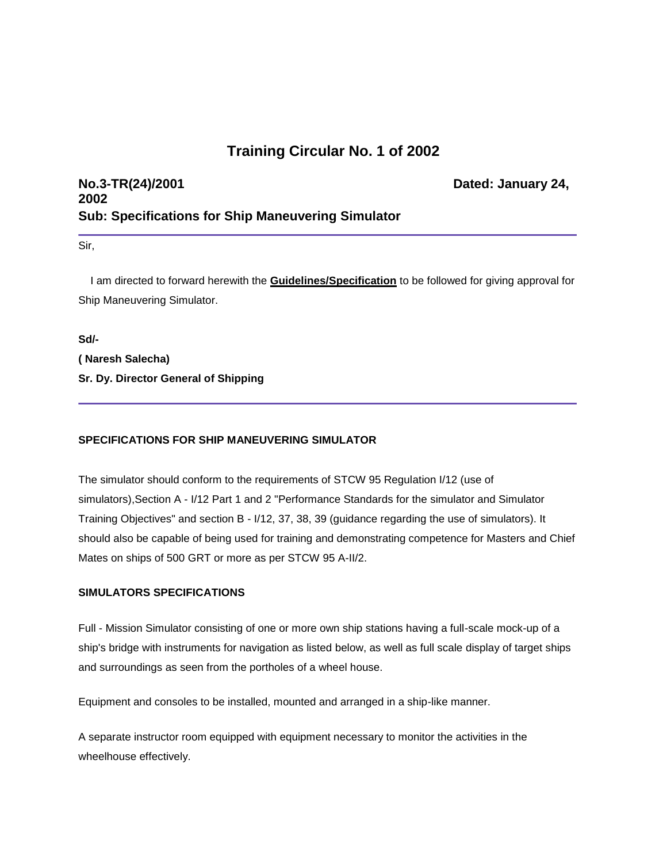# **Training Circular No. 1 of 2002**

# **No.3-TR(24)/2001 Dated: January 24, 2002 Sub: Specifications for Ship Maneuvering Simulator**

Sir,

 I am directed to forward herewith the **Guidelines/Specification** to be followed for giving approval for Ship Maneuvering Simulator.

**Sd/-**

**( Naresh Salecha) Sr. Dy. Director General of Shipping**

## **SPECIFICATIONS FOR SHIP MANEUVERING SIMULATOR**

The simulator should conform to the requirements of STCW 95 Regulation I/12 (use of simulators),Section A - I/12 Part 1 and 2 "Performance Standards for the simulator and Simulator Training Objectives" and section B - I/12, 37, 38, 39 (guidance regarding the use of simulators). It should also be capable of being used for training and demonstrating competence for Masters and Chief Mates on ships of 500 GRT or more as per STCW 95 A-II/2.

#### **SIMULATORS SPECIFICATIONS**

Full - Mission Simulator consisting of one or more own ship stations having a full-scale mock-up of a ship's bridge with instruments for navigation as listed below, as well as full scale display of target ships and surroundings as seen from the portholes of a wheel house.

Equipment and consoles to be installed, mounted and arranged in a ship-like manner.

A separate instructor room equipped with equipment necessary to monitor the activities in the wheelhouse effectively.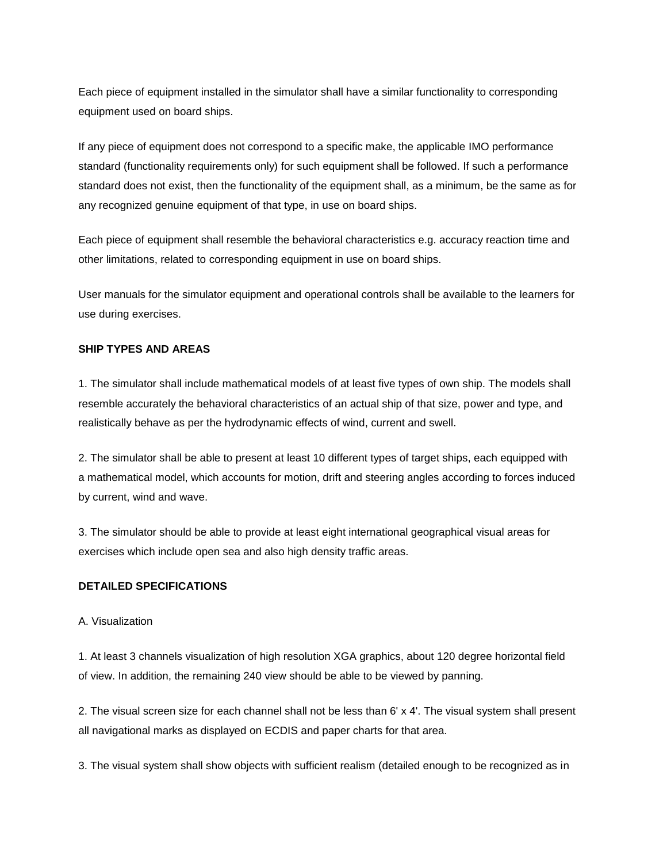Each piece of equipment installed in the simulator shall have a similar functionality to corresponding equipment used on board ships.

If any piece of equipment does not correspond to a specific make, the applicable IMO performance standard (functionality requirements only) for such equipment shall be followed. If such a performance standard does not exist, then the functionality of the equipment shall, as a minimum, be the same as for any recognized genuine equipment of that type, in use on board ships.

Each piece of equipment shall resemble the behavioral characteristics e.g. accuracy reaction time and other limitations, related to corresponding equipment in use on board ships.

User manuals for the simulator equipment and operational controls shall be available to the learners for use during exercises.

## **SHIP TYPES AND AREAS**

1. The simulator shall include mathematical models of at least five types of own ship. The models shall resemble accurately the behavioral characteristics of an actual ship of that size, power and type, and realistically behave as per the hydrodynamic effects of wind, current and swell.

2. The simulator shall be able to present at least 10 different types of target ships, each equipped with a mathematical model, which accounts for motion, drift and steering angles according to forces induced by current, wind and wave.

3. The simulator should be able to provide at least eight international geographical visual areas for exercises which include open sea and also high density traffic areas.

#### **DETAILED SPECIFICATIONS**

#### A. Visualization

1. At least 3 channels visualization of high resolution XGA graphics, about 120 degree horizontal field of view. In addition, the remaining 240 view should be able to be viewed by panning.

2. The visual screen size for each channel shall not be less than 6' x 4'. The visual system shall present all navigational marks as displayed on ECDIS and paper charts for that area.

3. The visual system shall show objects with sufficient realism (detailed enough to be recognized as in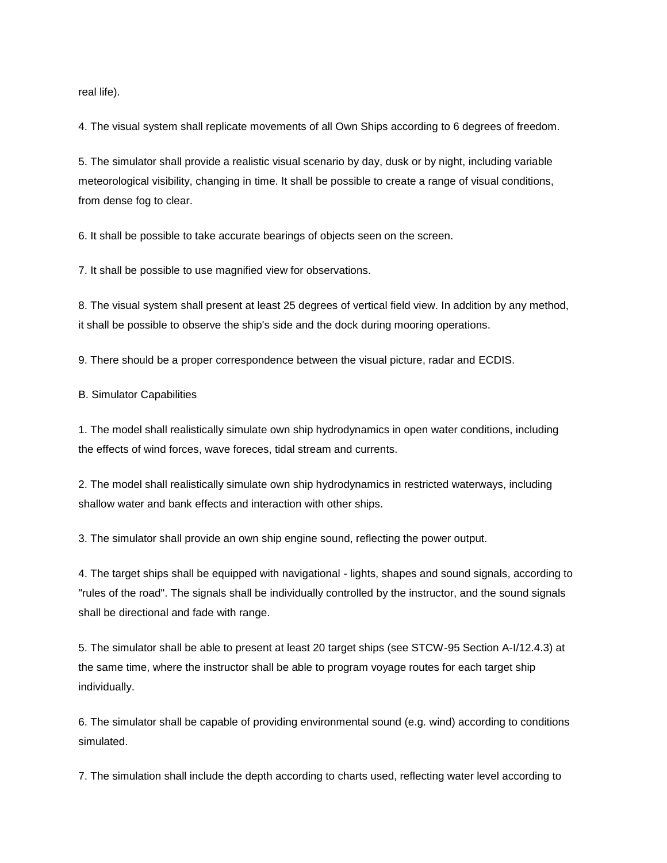real life).

4. The visual system shall replicate movements of all Own Ships according to 6 degrees of freedom.

5. The simulator shall provide a realistic visual scenario by day, dusk or by night, including variable meteorological visibility, changing in time. It shall be possible to create a range of visual conditions, from dense fog to clear.

6. It shall be possible to take accurate bearings of objects seen on the screen.

7. It shall be possible to use magnified view for observations.

8. The visual system shall present at least 25 degrees of vertical field view. In addition by any method, it shall be possible to observe the ship's side and the dock during mooring operations.

9. There should be a proper correspondence between the visual picture, radar and ECDIS.

B. Simulator Capabilities

1. The model shall realistically simulate own ship hydrodynamics in open water conditions, including the effects of wind forces, wave foreces, tidal stream and currents.

2. The model shall realistically simulate own ship hydrodynamics in restricted waterways, including shallow water and bank effects and interaction with other ships.

3. The simulator shall provide an own ship engine sound, reflecting the power output.

4. The target ships shall be equipped with navigational - lights, shapes and sound signals, according to "rules of the road". The signals shall be individually controlled by the instructor, and the sound signals shall be directional and fade with range.

5. The simulator shall be able to present at least 20 target ships (see STCW-95 Section A-I/12.4.3) at the same time, where the instructor shall be able to program voyage routes for each target ship individually.

6. The simulator shall be capable of providing environmental sound (e.g. wind) according to conditions simulated.

7. The simulation shall include the depth according to charts used, reflecting water level according to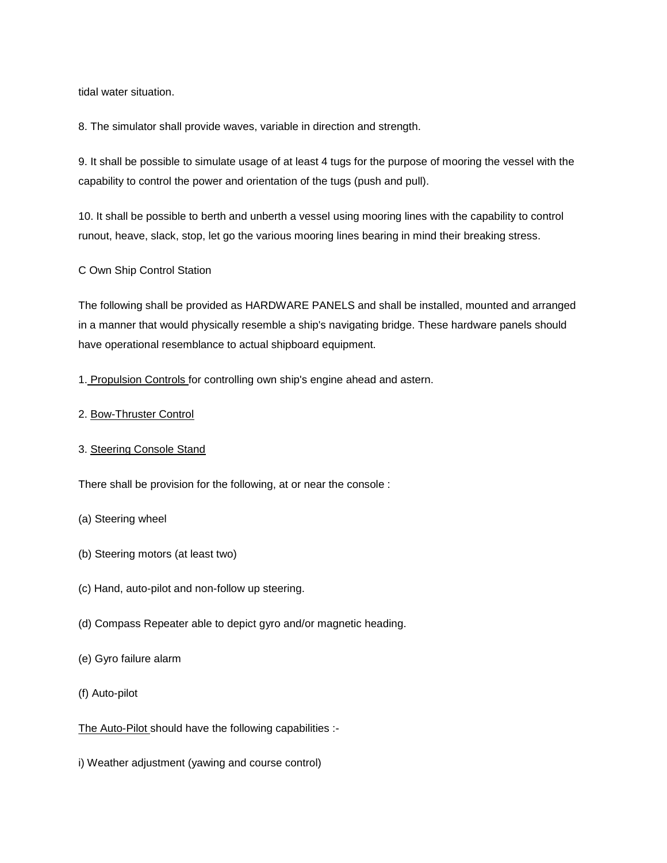tidal water situation.

8. The simulator shall provide waves, variable in direction and strength.

9. It shall be possible to simulate usage of at least 4 tugs for the purpose of mooring the vessel with the capability to control the power and orientation of the tugs (push and pull).

10. It shall be possible to berth and unberth a vessel using mooring lines with the capability to control runout, heave, slack, stop, let go the various mooring lines bearing in mind their breaking stress.

C Own Ship Control Station

The following shall be provided as HARDWARE PANELS and shall be installed, mounted and arranged in a manner that would physically resemble a ship's navigating bridge. These hardware panels should have operational resemblance to actual shipboard equipment.

1. Propulsion Controls for controlling own ship's engine ahead and astern.

2. Bow-Thruster Control

## 3. Steering Console Stand

There shall be provision for the following, at or near the console :

- (a) Steering wheel
- (b) Steering motors (at least two)
- (c) Hand, auto-pilot and non-follow up steering.
- (d) Compass Repeater able to depict gyro and/or magnetic heading.
- (e) Gyro failure alarm
- (f) Auto-pilot

The Auto-Pilot should have the following capabilities :-

i) Weather adjustment (yawing and course control)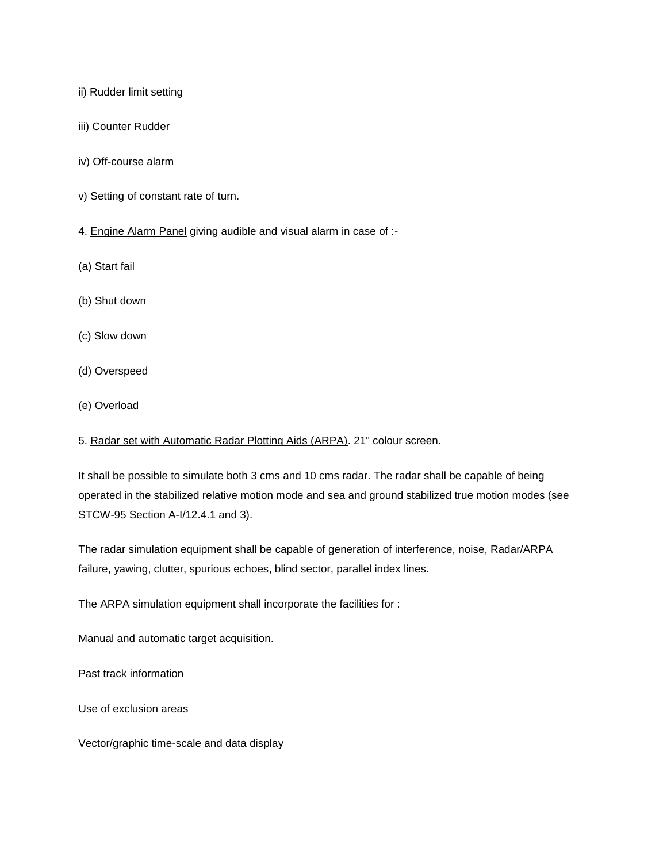ii) Rudder limit setting

- iii) Counter Rudder
- iv) Off-course alarm
- v) Setting of constant rate of turn.
- 4. Engine Alarm Panel giving audible and visual alarm in case of :-
- (a) Start fail
- (b) Shut down
- (c) Slow down
- (d) Overspeed
- (e) Overload
- 5. Radar set with Automatic Radar Plotting Aids (ARPA). 21" colour screen.

It shall be possible to simulate both 3 cms and 10 cms radar. The radar shall be capable of being operated in the stabilized relative motion mode and sea and ground stabilized true motion modes (see STCW-95 Section A-I/12.4.1 and 3).

The radar simulation equipment shall be capable of generation of interference, noise, Radar/ARPA failure, yawing, clutter, spurious echoes, blind sector, parallel index lines.

The ARPA simulation equipment shall incorporate the facilities for :

Manual and automatic target acquisition.

Past track information

Use of exclusion areas

Vector/graphic time-scale and data display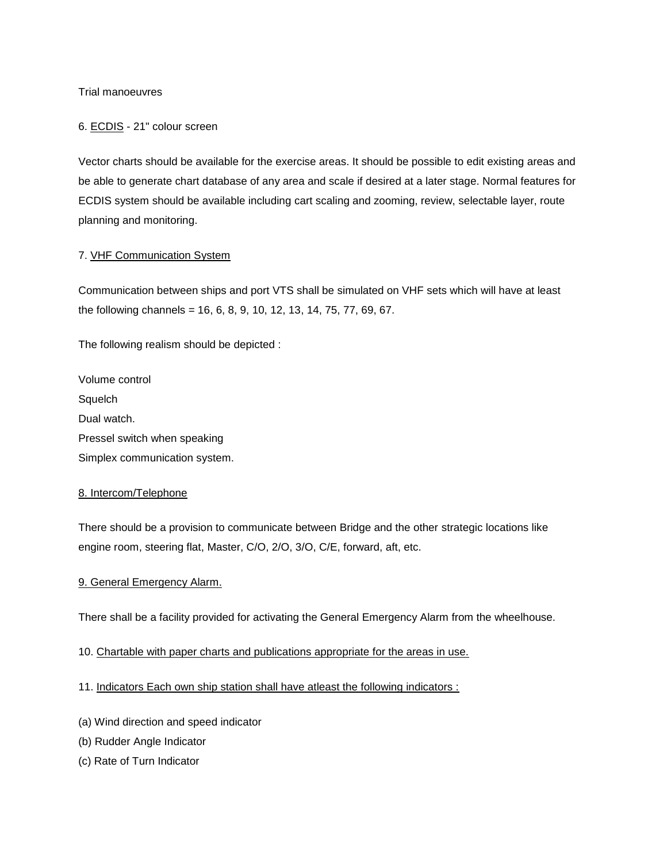Trial manoeuvres

#### 6. ECDIS - 21" colour screen

Vector charts should be available for the exercise areas. It should be possible to edit existing areas and be able to generate chart database of any area and scale if desired at a later stage. Normal features for ECDIS system should be available including cart scaling and zooming, review, selectable layer, route planning and monitoring.

#### 7. VHF Communication System

Communication between ships and port VTS shall be simulated on VHF sets which will have at least the following channels = 16, 6, 8, 9, 10, 12, 13, 14, 75, 77, 69, 67.

The following realism should be depicted :

Volume control **Squelch** Dual watch. Pressel switch when speaking Simplex communication system.

#### 8. Intercom/Telephone

There should be a provision to communicate between Bridge and the other strategic locations like engine room, steering flat, Master, C/O, 2/O, 3/O, C/E, forward, aft, etc.

# 9. General Emergency Alarm.

There shall be a facility provided for activating the General Emergency Alarm from the wheelhouse.

#### 10. Chartable with paper charts and publications appropriate for the areas in use.

#### 11. Indicators Each own ship station shall have atleast the following indicators :

- (a) Wind direction and speed indicator
- (b) Rudder Angle Indicator
- (c) Rate of Turn Indicator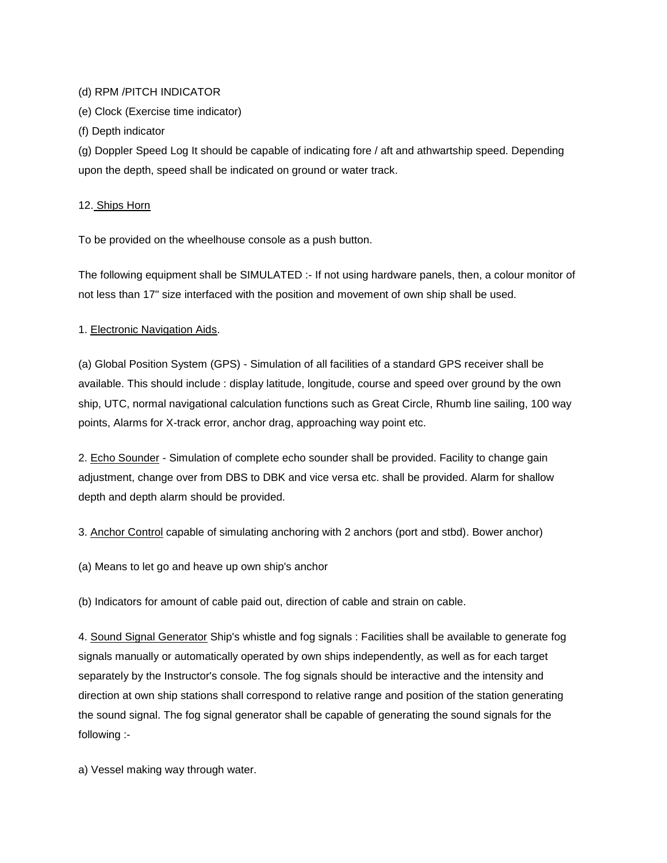### (d) RPM /PITCH INDICATOR

(e) Clock (Exercise time indicator)

(f) Depth indicator

(g) Doppler Speed Log It should be capable of indicating fore / aft and athwartship speed. Depending upon the depth, speed shall be indicated on ground or water track.

## 12. Ships Horn

To be provided on the wheelhouse console as a push button.

The following equipment shall be SIMULATED :- If not using hardware panels, then, a colour monitor of not less than 17" size interfaced with the position and movement of own ship shall be used.

# 1. Electronic Navigation Aids.

(a) Global Position System (GPS) - Simulation of all facilities of a standard GPS receiver shall be available. This should include : display latitude, longitude, course and speed over ground by the own ship, UTC, normal navigational calculation functions such as Great Circle, Rhumb line sailing, 100 way points, Alarms for X-track error, anchor drag, approaching way point etc.

2. Echo Sounder - Simulation of complete echo sounder shall be provided. Facility to change gain adjustment, change over from DBS to DBK and vice versa etc. shall be provided. Alarm for shallow depth and depth alarm should be provided.

3. Anchor Control capable of simulating anchoring with 2 anchors (port and stbd). Bower anchor)

(a) Means to let go and heave up own ship's anchor

(b) Indicators for amount of cable paid out, direction of cable and strain on cable.

4. Sound Signal Generator Ship's whistle and fog signals : Facilities shall be available to generate fog signals manually or automatically operated by own ships independently, as well as for each target separately by the Instructor's console. The fog signals should be interactive and the intensity and direction at own ship stations shall correspond to relative range and position of the station generating the sound signal. The fog signal generator shall be capable of generating the sound signals for the following :-

a) Vessel making way through water.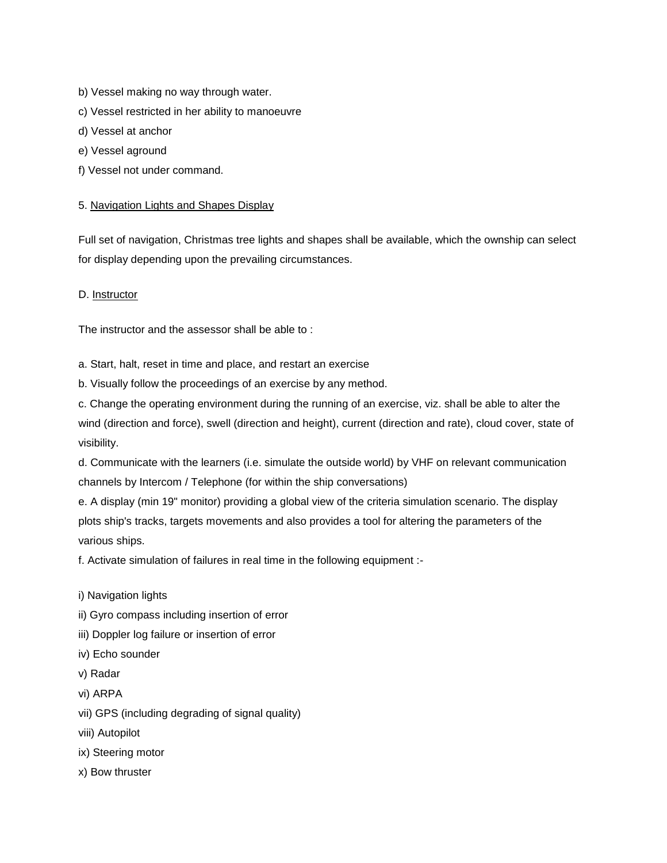- b) Vessel making no way through water.
- c) Vessel restricted in her ability to manoeuvre
- d) Vessel at anchor
- e) Vessel aground
- f) Vessel not under command.

#### 5. Navigation Lights and Shapes Display

Full set of navigation, Christmas tree lights and shapes shall be available, which the ownship can select for display depending upon the prevailing circumstances.

D. Instructor

The instructor and the assessor shall be able to :

a. Start, halt, reset in time and place, and restart an exercise

b. Visually follow the proceedings of an exercise by any method.

c. Change the operating environment during the running of an exercise, viz. shall be able to alter the wind (direction and force), swell (direction and height), current (direction and rate), cloud cover, state of visibility.

d. Communicate with the learners (i.e. simulate the outside world) by VHF on relevant communication channels by Intercom / Telephone (for within the ship conversations)

e. A display (min 19" monitor) providing a global view of the criteria simulation scenario. The display plots ship's tracks, targets movements and also provides a tool for altering the parameters of the various ships.

f. Activate simulation of failures in real time in the following equipment :-

- i) Navigation lights
- ii) Gyro compass including insertion of error
- iii) Doppler log failure or insertion of error
- iv) Echo sounder
- v) Radar
- vi) ARPA
- vii) GPS (including degrading of signal quality)
- viii) Autopilot
- ix) Steering motor
- x) Bow thruster